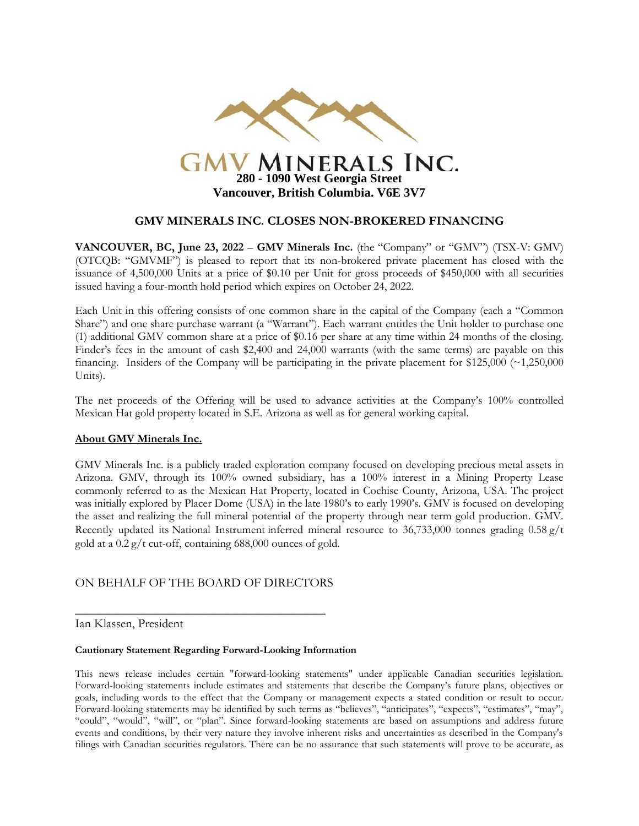

### **GMV MINERALS INC. CLOSES NON-BROKERED FINANCING**

**VANCOUVER, BC, June 23, 2022** – **GMV Minerals Inc.** (the "Company" or "GMV") (TSX-V: GMV) (OTCQB: "GMVMF") is pleased to report that its non-brokered private placement has closed with the issuance of 4,500,000 Units at a price of \$0.10 per Unit for gross proceeds of \$450,000 with all securities issued having a four-month hold period which expires on October 24, 2022.

Each Unit in this offering consists of one common share in the capital of the Company (each a "Common Share") and one share purchase warrant (a "Warrant"). Each warrant entitles the Unit holder to purchase one (1) additional GMV common share at a price of \$0.16 per share at any time within 24 months of the closing. Finder's fees in the amount of cash \$2,400 and 24,000 warrants (with the same terms) are payable on this financing. Insiders of the Company will be participating in the private placement for  $$125,000$  ( $\sim$ 1,250,000) Units).

The net proceeds of the Offering will be used to advance activities at the Company's 100% controlled Mexican Hat gold property located in S.E. Arizona as well as for general working capital.

#### **About GMV Minerals Inc.**

GMV Minerals Inc. is a publicly traded exploration company focused on developing precious metal assets in Arizona. GMV, through its 100% owned subsidiary, has a 100% interest in a Mining Property Lease commonly referred to as the Mexican Hat Property, located in Cochise County, Arizona, USA. The project was initially explored by Placer Dome (USA) in the late 1980's to early 1990's. GMV is focused on developing the asset and realizing the full mineral potential of the property through near term gold production. GMV. Recently updated its National Instrument inferred mineral resource to 36,733,000 tonnes grading 0.58 g/t gold at a 0.2 g/t cut-off, containing 688,000 ounces of gold.

# ON BEHALF OF THE BOARD OF DIRECTORS

 $\overline{\phantom{a}}$  , where  $\overline{\phantom{a}}$  , where  $\overline{\phantom{a}}$  ,  $\overline{\phantom{a}}$  ,  $\overline{\phantom{a}}$  ,  $\overline{\phantom{a}}$  ,  $\overline{\phantom{a}}$  ,  $\overline{\phantom{a}}$  ,  $\overline{\phantom{a}}$  ,  $\overline{\phantom{a}}$  ,  $\overline{\phantom{a}}$  ,  $\overline{\phantom{a}}$  ,  $\overline{\phantom{a}}$  ,  $\overline{\phantom{a}}$  ,  $\overline{\phantom{a}}$  ,

#### Ian Klassen, President

#### **Cautionary Statement Regarding Forward-Looking Information**

This news release includes certain "forward-looking statements" under applicable Canadian securities legislation. Forward-looking statements include estimates and statements that describe the Company's future plans, objectives or goals, including words to the effect that the Company or management expects a stated condition or result to occur. Forward-looking statements may be identified by such terms as "believes", "anticipates", "expects", "estimates", "may", "could", "would", "will", or "plan". Since forward-looking statements are based on assumptions and address future events and conditions, by their very nature they involve inherent risks and uncertainties as described in the Company's filings with Canadian securities regulators. There can be no assurance that such statements will prove to be accurate, as